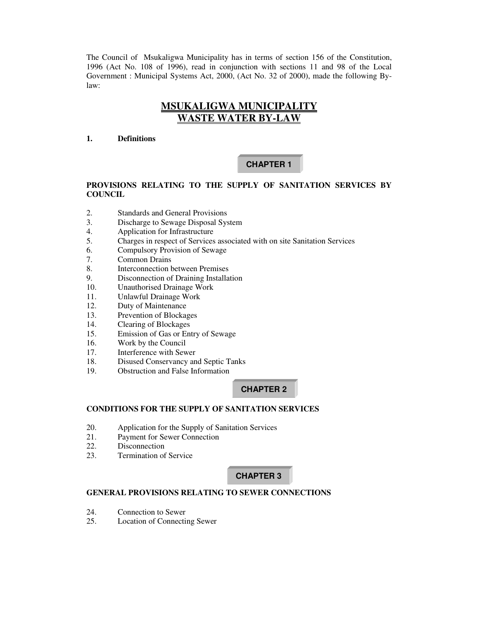The Council of Msukaligwa Municipality has in terms of section 156 of the Constitution, 1996 (Act No. 108 of 1996), read in conjunction with sections 11 and 98 of the Local Government : Municipal Systems Act, 2000, (Act No. 32 of 2000), made the following Bylaw:

# **MSUKALIGWA MUNICIPALITY WASTE WATER BY-LAW**

### **1. Definitions**

# **CHAPTER 1**

# **PROVISIONS RELATING TO THE SUPPLY OF SANITATION SERVICES BY COUNCIL**

- 2. Standards and General Provisions
- 3. Discharge to Sewage Disposal System
- 4. Application for Infrastructure
- 5. Charges in respect of Services associated with on site Sanitation Services
- 6. Compulsory Provision of Sewage<br>7. Common Drains
- Common Drains
- 8. Interconnection between Premises
- 9. Disconnection of Draining Installation
- 10. Unauthorised Drainage Work
- 11. Unlawful Drainage Work
- 12. Duty of Maintenance
- 13. Prevention of Blockages
- 14. Clearing of Blockages
- 15. Emission of Gas or Entry of Sewage
- 16. Work by the Council
- 17. Interference with Sewer
- 18. Disused Conservancy and Septic Tanks
- 19. Obstruction and False Information

# **CHAPTER 2**

# **CONDITIONS FOR THE SUPPLY OF SANITATION SERVICES**

- 20. Application for the Supply of Sanitation Services
- 21. Payment for Sewer Connection
- 22. Disconnection<br>23. Termination of
- **Termination of Service**

# **CHAPTER 3**

# **GENERAL PROVISIONS RELATING TO SEWER CONNECTIONS**

- 24. Connection to Sewer
- 25. Location of Connecting Sewer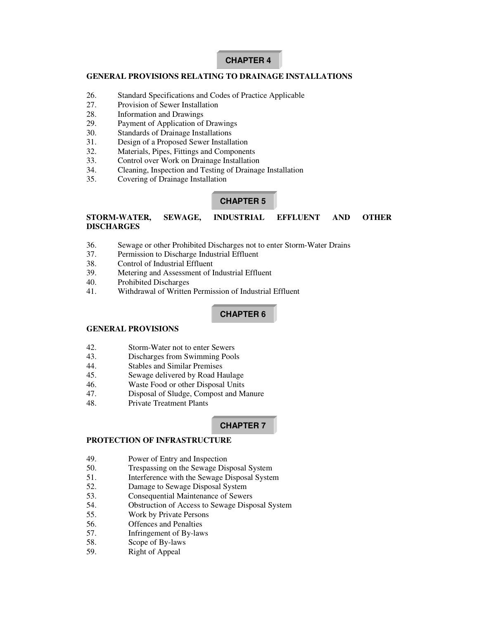# **CHAPTER 4**

### **GENERAL PROVISIONS RELATING TO DRAINAGE INSTALLATIONS**

- 26. Standard Specifications and Codes of Practice Applicable
- 27. Provision of Sewer Installation
- 28. Information and Drawings
- 29. Payment of Application of Drawings
- 30. Standards of Drainage Installations
- 31. Design of a Proposed Sewer Installation
- 32. Materials, Pipes, Fittings and Components
- 33. Control over Work on Drainage Installation
- 34. Cleaning, Inspection and Testing of Drainage Installation
- 35. Covering of Drainage Installation

### **CHAPTER 5**

# **STORM-WATER, SEWAGE, INDUSTRIAL EFFLUENT AND OTHER DISCHARGES**

- 36. Sewage or other Prohibited Discharges not to enter Storm-Water Drains
- 37. Permission to Discharge Industrial Effluent
- 38. Control of Industrial Effluent
- 39. Metering and Assessment of Industrial Effluent
- 40. Prohibited Discharges
- 41. Withdrawal of Written Permission of Industrial Effluent

# **CHAPTER 6**

## **GENERAL PROVISIONS**

- 42. Storm-Water not to enter Sewers
- 43. Discharges from Swimming Pools
- 44. Stables and Similar Premises
- 45. Sewage delivered by Road Haulage
- 46. Waste Food or other Disposal Units
- 47. Disposal of Sludge, Compost and Manure
- 48. Private Treatment Plants

# **CHAPTER 7**

# **PROTECTION OF INFRASTRUCTURE**

- 49. Power of Entry and Inspection
- 50. Trespassing on the Sewage Disposal System
- 51. Interference with the Sewage Disposal System
- 52. Damage to Sewage Disposal System
- 53. Consequential Maintenance of Sewers
- 54. Obstruction of Access to Sewage Disposal System
- 55. Work by Private Persons
- 56. Offences and Penalties
- 57. Infringement of By-laws
- 58. Scope of By-laws
- 59. Right of Appeal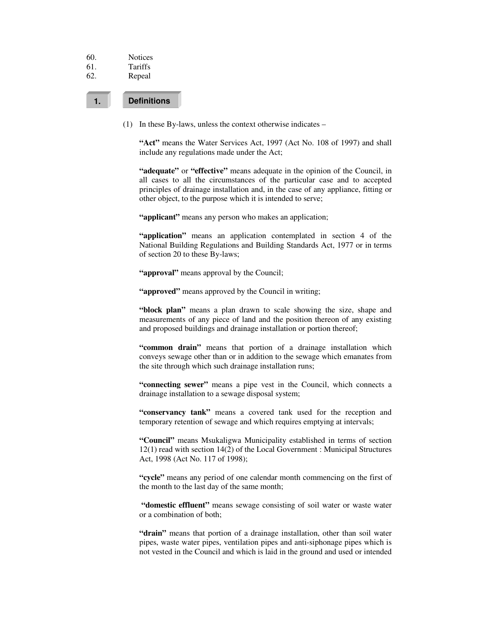| 60. | <b>Notices</b> |
|-----|----------------|
|     |                |

- 61. Tariffs
- 62. Repeal

# **1. Definitions**

(1) In these By-laws, unless the context otherwise indicates –

**"Act"** means the Water Services Act, 1997 (Act No. 108 of 1997) and shall include any regulations made under the Act;

**"adequate"** or **"effective"** means adequate in the opinion of the Council, in all cases to all the circumstances of the particular case and to accepted principles of drainage installation and, in the case of any appliance, fitting or other object, to the purpose which it is intended to serve;

**"applicant"** means any person who makes an application;

**"application"** means an application contemplated in section 4 of the National Building Regulations and Building Standards Act, 1977 or in terms of section 20 to these By-laws;

**"approval"** means approval by the Council;

**"approved"** means approved by the Council in writing;

**"block plan"** means a plan drawn to scale showing the size, shape and measurements of any piece of land and the position thereon of any existing and proposed buildings and drainage installation or portion thereof;

**"common drain"** means that portion of a drainage installation which conveys sewage other than or in addition to the sewage which emanates from the site through which such drainage installation runs;

**"connecting sewer"** means a pipe vest in the Council, which connects a drainage installation to a sewage disposal system;

**"conservancy tank"** means a covered tank used for the reception and temporary retention of sewage and which requires emptying at intervals;

**"Council"** means Msukaligwa Municipality established in terms of section 12(1) read with section 14(2) of the Local Government : Municipal Structures Act, 1998 (Act No. 117 of 1998);

**"cycle"** means any period of one calendar month commencing on the first of the month to the last day of the same month;

**"domestic effluent"** means sewage consisting of soil water or waste water or a combination of both;

**"drain"** means that portion of a drainage installation, other than soil water pipes, waste water pipes, ventilation pipes and anti-siphonage pipes which is not vested in the Council and which is laid in the ground and used or intended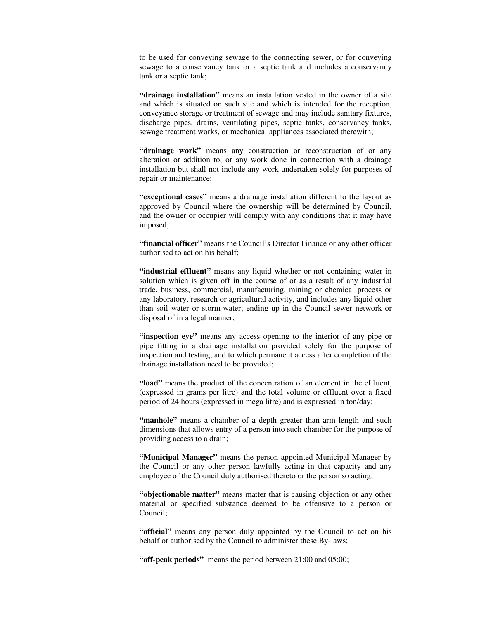to be used for conveying sewage to the connecting sewer, or for conveying sewage to a conservancy tank or a septic tank and includes a conservancy tank or a septic tank;

**"drainage installation"** means an installation vested in the owner of a site and which is situated on such site and which is intended for the reception, conveyance storage or treatment of sewage and may include sanitary fixtures, discharge pipes, drains, ventilating pipes, septic tanks, conservancy tanks, sewage treatment works, or mechanical appliances associated therewith;

**"drainage work"** means any construction or reconstruction of or any alteration or addition to, or any work done in connection with a drainage installation but shall not include any work undertaken solely for purposes of repair or maintenance;

**"exceptional cases"** means a drainage installation different to the layout as approved by Council where the ownership will be determined by Council, and the owner or occupier will comply with any conditions that it may have imposed;

**"financial officer"** means the Council's Director Finance or any other officer authorised to act on his behalf;

**"industrial effluent"** means any liquid whether or not containing water in solution which is given off in the course of or as a result of any industrial trade, business, commercial, manufacturing, mining or chemical process or any laboratory, research or agricultural activity, and includes any liquid other than soil water or storm-water; ending up in the Council sewer network or disposal of in a legal manner;

**"inspection eye"** means any access opening to the interior of any pipe or pipe fitting in a drainage installation provided solely for the purpose of inspection and testing, and to which permanent access after completion of the drainage installation need to be provided;

**"load"** means the product of the concentration of an element in the effluent, (expressed in grams per litre) and the total volume or effluent over a fixed period of 24 hours (expressed in mega litre) and is expressed in ton/day;

**"manhole"** means a chamber of a depth greater than arm length and such dimensions that allows entry of a person into such chamber for the purpose of providing access to a drain;

**"Municipal Manager"** means the person appointed Municipal Manager by the Council or any other person lawfully acting in that capacity and any employee of the Council duly authorised thereto or the person so acting;

**"objectionable matter"** means matter that is causing objection or any other material or specified substance deemed to be offensive to a person or Council;

**"official"** means any person duly appointed by the Council to act on his behalf or authorised by the Council to administer these By-laws;

**"off-peak periods"** means the period between 21:00 and 05:00;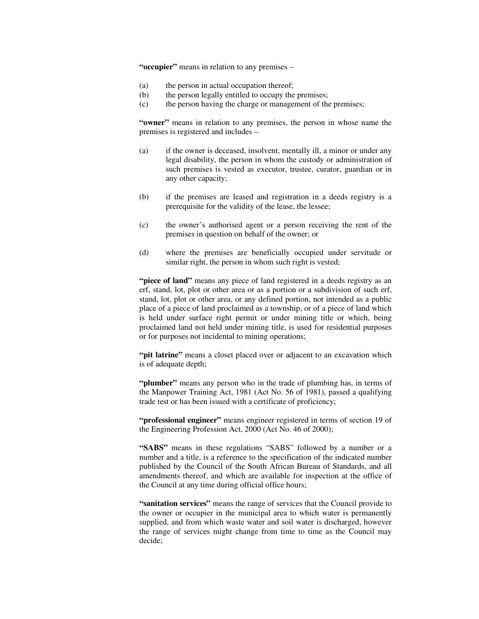**"occupier"** means in relation to any premises –

- (a) the person in actual occupation thereof;
- (b) the person legally entitled to occupy the premises;
- (c) the person having the charge or management of the premises;

**"owner"** means in relation to any premises, the person in whose name the premises is registered and includes –

- (a) if the owner is deceased, insolvent, mentally ill, a minor or under any legal disability, the person in whom the custody or administration of such premises is vested as executor, trustee, curator, guardian or in any other capacity;
- (b) if the premises are leased and registration in a deeds registry is a prerequisite for the validity of the lease, the lessee;
- (c) the owner's authorised agent or a person receiving the rent of the premises in question on behalf of the owner; or
- (d) where the premises are beneficially occupied under servitude or similar right, the person in whom such right is vested;

**"piece of land"** means any piece of land registered in a deeds registry as an erf, stand, lot, plot or other area or as a portion or a subdivision of such erf, stand, lot, plot or other area, or any defined portion, not intended as a public place of a piece of land proclaimed as a township, or of a piece of land which is held under surface right permit or under mining title or which, being proclaimed land not held under mining title, is used for residential purposes or for purposes not incidental to mining operations;

**"pit latrine"** means a closet placed over or adjacent to an excavation which is of adequate depth;

**"plumber"** means any person who in the trade of plumbing has, in terms of the Manpower Training Act, 1981 (Act No. 56 of 1981), passed a qualifying trade test or has been issued with a certificate of proficiency;

**"professional engineer"** means engineer registered in terms of section 19 of the Engineering Profession Act, 2000 (Act No. 46 of 2000);

**"SABS"** means in these regulations "SABS" followed by a number or a number and a title, is a reference to the specification of the indicated number published by the Council of the South African Bureau of Standards, and all amendments thereof, and which are available for inspection at the office of the Council at any time during official office hours;

**"sanitation services"** means the range of services that the Council provide to the owner or occupier in the municipal area to which water is permanently supplied, and from which waste water and soil water is discharged, however the range of services might change from time to time as the Council may decide;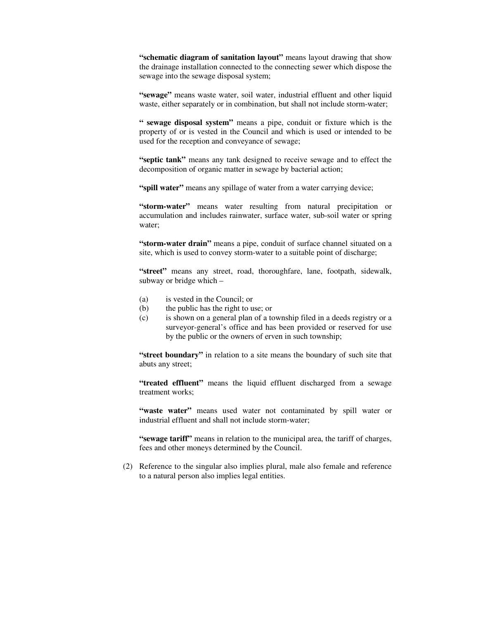**"schematic diagram of sanitation layout"** means layout drawing that show the drainage installation connected to the connecting sewer which dispose the sewage into the sewage disposal system;

**"sewage"** means waste water, soil water, industrial effluent and other liquid waste, either separately or in combination, but shall not include storm-water;

**" sewage disposal system"** means a pipe, conduit or fixture which is the property of or is vested in the Council and which is used or intended to be used for the reception and conveyance of sewage;

**"septic tank"** means any tank designed to receive sewage and to effect the decomposition of organic matter in sewage by bacterial action;

**"spill water"** means any spillage of water from a water carrying device;

**"storm-water"** means water resulting from natural precipitation or accumulation and includes rainwater, surface water, sub-soil water or spring water;

**"storm-water drain"** means a pipe, conduit of surface channel situated on a site, which is used to convey storm-water to a suitable point of discharge;

**"street"** means any street, road, thoroughfare, lane, footpath, sidewalk, subway or bridge which –

- (a) is vested in the Council; or
- (b) the public has the right to use; or
- (c) is shown on a general plan of a township filed in a deeds registry or a surveyor-general's office and has been provided or reserved for use by the public or the owners of erven in such township;

**"street boundary"** in relation to a site means the boundary of such site that abuts any street;

**"treated effluent"** means the liquid effluent discharged from a sewage treatment works;

**"waste water"** means used water not contaminated by spill water or industrial effluent and shall not include storm-water;

**"sewage tariff"** means in relation to the municipal area, the tariff of charges, fees and other moneys determined by the Council.

(2) Reference to the singular also implies plural, male also female and reference to a natural person also implies legal entities.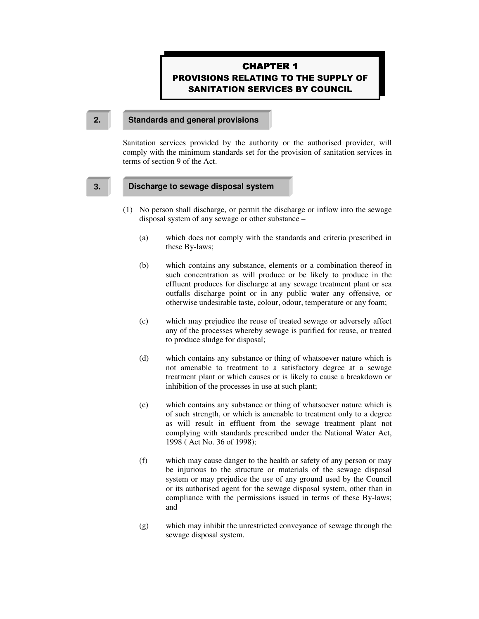# **CHAPTER 1 PROVISIONS RELATING TO THE SUPPLY OF SANITATION SERVICES BY COUNCIL**

#### **2. Standards and general provisions**

Sanitation services provided by the authority or the authorised provider, will comply with the minimum standards set for the provision of sanitation services in terms of section 9 of the Act.

#### **3. Discharge to sewage disposal system**

- (1) No person shall discharge, or permit the discharge or inflow into the sewage disposal system of any sewage or other substance –
	- (a) which does not comply with the standards and criteria prescribed in these By-laws;
	- (b) which contains any substance, elements or a combination thereof in such concentration as will produce or be likely to produce in the effluent produces for discharge at any sewage treatment plant or sea outfalls discharge point or in any public water any offensive, or otherwise undesirable taste, colour, odour, temperature or any foam;
	- (c) which may prejudice the reuse of treated sewage or adversely affect any of the processes whereby sewage is purified for reuse, or treated to produce sludge for disposal;
	- (d) which contains any substance or thing of whatsoever nature which is not amenable to treatment to a satisfactory degree at a sewage treatment plant or which causes or is likely to cause a breakdown or inhibition of the processes in use at such plant;
	- (e) which contains any substance or thing of whatsoever nature which is of such strength, or which is amenable to treatment only to a degree as will result in effluent from the sewage treatment plant not complying with standards prescribed under the National Water Act, 1998 ( Act No. 36 of 1998);
	- (f) which may cause danger to the health or safety of any person or may be injurious to the structure or materials of the sewage disposal system or may prejudice the use of any ground used by the Council or its authorised agent for the sewage disposal system, other than in compliance with the permissions issued in terms of these By-laws; and
	- (g) which may inhibit the unrestricted conveyance of sewage through the sewage disposal system.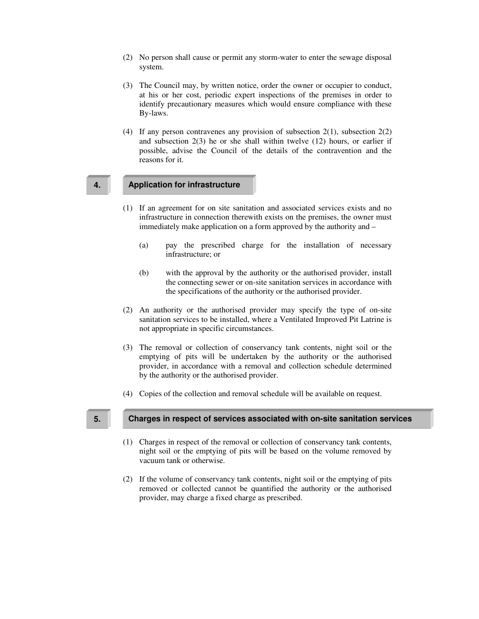- (2) No person shall cause or permit any storm-water to enter the sewage disposal system.
- (3) The Council may, by written notice, order the owner or occupier to conduct, at his or her cost, periodic expert inspections of the premises in order to identify precautionary measures which would ensure compliance with these By-laws.
- (4) If any person contravenes any provision of subsection 2(1), subsection 2(2) and subsection 2(3) he or she shall within twelve (12) hours, or earlier if possible, advise the Council of the details of the contravention and the reasons for it.

# **4. Application for infrastructure**

- (1) If an agreement for on site sanitation and associated services exists and no infrastructure in connection therewith exists on the premises, the owner must immediately make application on a form approved by the authority and –
	- (a) pay the prescribed charge for the installation of necessary infrastructure; or
	- (b) with the approval by the authority or the authorised provider, install the connecting sewer or on-site sanitation services in accordance with the specifications of the authority or the authorised provider.
- (2) An authority or the authorised provider may specify the type of on-site sanitation services to be installed, where a Ventilated Improved Pit Latrine is not appropriate in specific circumstances.
- (3) The removal or collection of conservancy tank contents, night soil or the emptying of pits will be undertaken by the authority or the authorised provider, in accordance with a removal and collection schedule determined by the authority or the authorised provider.
- (4) Copies of the collection and removal schedule will be available on request.

#### **5. Charges in respect of services associated with on-site sanitation services**

- (1) Charges in respect of the removal or collection of conservancy tank contents, night soil or the emptying of pits will be based on the volume removed by vacuum tank or otherwise.
- (2) If the volume of conservancy tank contents, night soil or the emptying of pits removed or collected cannot be quantified the authority or the authorised provider, may charge a fixed charge as prescribed.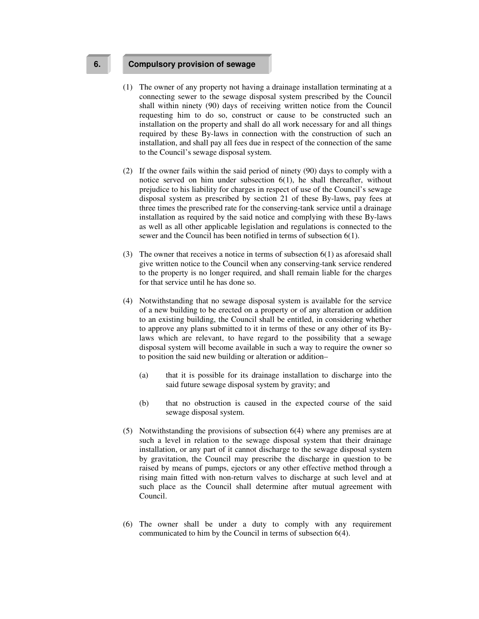### **6. Compulsory provision of sewage**

- (1) The owner of any property not having a drainage installation terminating at a connecting sewer to the sewage disposal system prescribed by the Council shall within ninety (90) days of receiving written notice from the Council requesting him to do so, construct or cause to be constructed such an installation on the property and shall do all work necessary for and all things required by these By-laws in connection with the construction of such an installation, and shall pay all fees due in respect of the connection of the same to the Council's sewage disposal system.
- (2) If the owner fails within the said period of ninety (90) days to comply with a notice served on him under subsection 6(1), he shall thereafter, without prejudice to his liability for charges in respect of use of the Council's sewage disposal system as prescribed by section 21 of these By-laws, pay fees at three times the prescribed rate for the conserving-tank service until a drainage installation as required by the said notice and complying with these By-laws as well as all other applicable legislation and regulations is connected to the sewer and the Council has been notified in terms of subsection 6(1).
- (3) The owner that receives a notice in terms of subsection 6(1) as aforesaid shall give written notice to the Council when any conserving-tank service rendered to the property is no longer required, and shall remain liable for the charges for that service until he has done so.
- (4) Notwithstanding that no sewage disposal system is available for the service of a new building to be erected on a property or of any alteration or addition to an existing building, the Council shall be entitled, in considering whether to approve any plans submitted to it in terms of these or any other of its Bylaws which are relevant, to have regard to the possibility that a sewage disposal system will become available in such a way to require the owner so to position the said new building or alteration or addition–
	- (a) that it is possible for its drainage installation to discharge into the said future sewage disposal system by gravity; and
	- (b) that no obstruction is caused in the expected course of the said sewage disposal system.
- (5) Notwithstanding the provisions of subsection 6(4) where any premises are at such a level in relation to the sewage disposal system that their drainage installation, or any part of it cannot discharge to the sewage disposal system by gravitation, the Council may prescribe the discharge in question to be raised by means of pumps, ejectors or any other effective method through a rising main fitted with non-return valves to discharge at such level and at such place as the Council shall determine after mutual agreement with Council.
- (6) The owner shall be under a duty to comply with any requirement communicated to him by the Council in terms of subsection 6(4).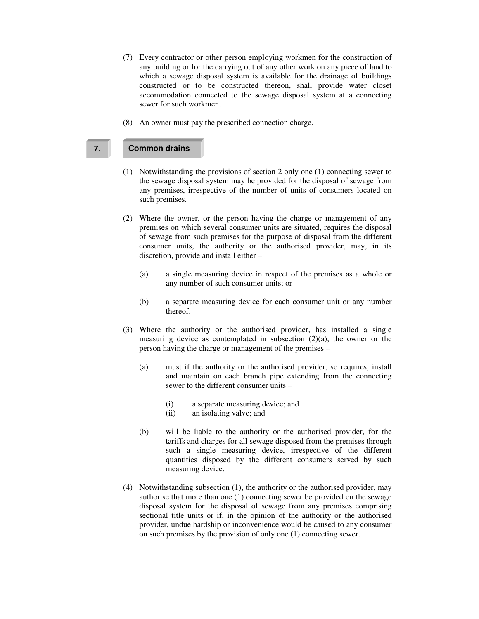- (7) Every contractor or other person employing workmen for the construction of any building or for the carrying out of any other work on any piece of land to which a sewage disposal system is available for the drainage of buildings constructed or to be constructed thereon, shall provide water closet accommodation connected to the sewage disposal system at a connecting sewer for such workmen.
- (8) An owner must pay the prescribed connection charge.

# **7. Common drains**

- (1) Notwithstanding the provisions of section 2 only one (1) connecting sewer to the sewage disposal system may be provided for the disposal of sewage from any premises, irrespective of the number of units of consumers located on such premises.
- (2) Where the owner, or the person having the charge or management of any premises on which several consumer units are situated, requires the disposal of sewage from such premises for the purpose of disposal from the different consumer units, the authority or the authorised provider, may, in its discretion, provide and install either –
	- (a) a single measuring device in respect of the premises as a whole or any number of such consumer units; or
	- (b) a separate measuring device for each consumer unit or any number thereof.
- (3) Where the authority or the authorised provider, has installed a single measuring device as contemplated in subsection (2)(a), the owner or the person having the charge or management of the premises –
	- (a) must if the authority or the authorised provider, so requires, install and maintain on each branch pipe extending from the connecting sewer to the different consumer units –
		- (i) a separate measuring device; and
		- (ii) an isolating valve; and
	- (b) will be liable to the authority or the authorised provider, for the tariffs and charges for all sewage disposed from the premises through such a single measuring device, irrespective of the different quantities disposed by the different consumers served by such measuring device.
- (4) Notwithstanding subsection (1), the authority or the authorised provider, may authorise that more than one (1) connecting sewer be provided on the sewage disposal system for the disposal of sewage from any premises comprising sectional title units or if, in the opinion of the authority or the authorised provider, undue hardship or inconvenience would be caused to any consumer on such premises by the provision of only one (1) connecting sewer.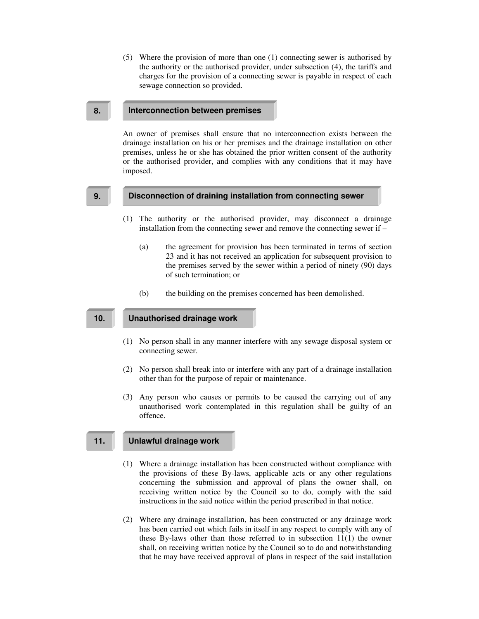(5) Where the provision of more than one (1) connecting sewer is authorised by the authority or the authorised provider, under subsection (4), the tariffs and charges for the provision of a connecting sewer is payable in respect of each sewage connection so provided.

#### **8. Interconnection between premises**

An owner of premises shall ensure that no interconnection exists between the drainage installation on his or her premises and the drainage installation on other premises, unless he or she has obtained the prior written consent of the authority or the authorised provider, and complies with any conditions that it may have imposed.

#### **9. Disconnection of draining installation from connecting sewer**

- (1) The authority or the authorised provider, may disconnect a drainage installation from the connecting sewer and remove the connecting sewer if –
	- (a) the agreement for provision has been terminated in terms of section 23 and it has not received an application for subsequent provision to the premises served by the sewer within a period of ninety (90) days of such termination; or
	- (b) the building on the premises concerned has been demolished.

## **10. Unauthorised drainage work**

- (1) No person shall in any manner interfere with any sewage disposal system or connecting sewer.
- (2) No person shall break into or interfere with any part of a drainage installation other than for the purpose of repair or maintenance.
- (3) Any person who causes or permits to be caused the carrying out of any unauthorised work contemplated in this regulation shall be guilty of an offence.

# **11. Unlawful drainage work**

- (1) Where a drainage installation has been constructed without compliance with the provisions of these By-laws, applicable acts or any other regulations concerning the submission and approval of plans the owner shall, on receiving written notice by the Council so to do, comply with the said instructions in the said notice within the period prescribed in that notice.
- (2) Where any drainage installation, has been constructed or any drainage work has been carried out which fails in itself in any respect to comply with any of these By-laws other than those referred to in subsection  $11(1)$  the owner shall, on receiving written notice by the Council so to do and notwithstanding that he may have received approval of plans in respect of the said installation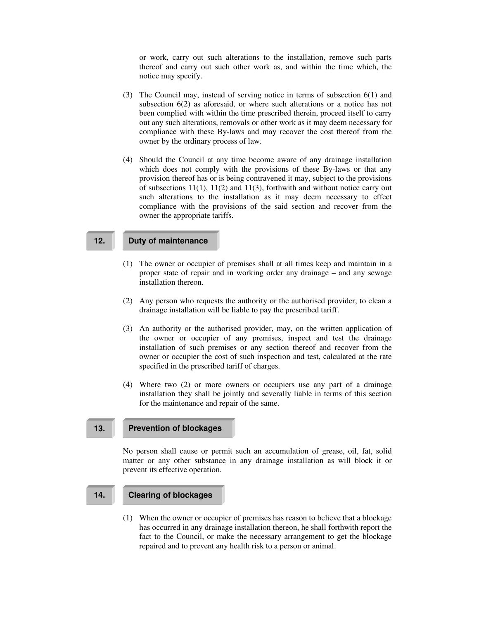or work, carry out such alterations to the installation, remove such parts thereof and carry out such other work as, and within the time which, the notice may specify.

- (3) The Council may, instead of serving notice in terms of subsection 6(1) and subsection 6(2) as aforesaid, or where such alterations or a notice has not been complied with within the time prescribed therein, proceed itself to carry out any such alterations, removals or other work as it may deem necessary for compliance with these By-laws and may recover the cost thereof from the owner by the ordinary process of law.
- (4) Should the Council at any time become aware of any drainage installation which does not comply with the provisions of these By-laws or that any provision thereof has or is being contravened it may, subject to the provisions of subsections  $11(1)$ ,  $11(2)$  and  $11(3)$ , forthwith and without notice carry out such alterations to the installation as it may deem necessary to effect compliance with the provisions of the said section and recover from the owner the appropriate tariffs.

### **12. Duty of maintenance**

- (1) The owner or occupier of premises shall at all times keep and maintain in a proper state of repair and in working order any drainage – and any sewage installation thereon.
- (2) Any person who requests the authority or the authorised provider, to clean a drainage installation will be liable to pay the prescribed tariff.
- (3) An authority or the authorised provider, may, on the written application of the owner or occupier of any premises, inspect and test the drainage installation of such premises or any section thereof and recover from the owner or occupier the cost of such inspection and test, calculated at the rate specified in the prescribed tariff of charges.
- (4) Where two (2) or more owners or occupiers use any part of a drainage installation they shall be jointly and severally liable in terms of this section for the maintenance and repair of the same.

### **13. Prevention of blockages**

No person shall cause or permit such an accumulation of grease, oil, fat, solid matter or any other substance in any drainage installation as will block it or prevent its effective operation.

# **14. Clearing of blockages**

(1) When the owner or occupier of premises has reason to believe that a blockage has occurred in any drainage installation thereon, he shall forthwith report the fact to the Council, or make the necessary arrangement to get the blockage repaired and to prevent any health risk to a person or animal.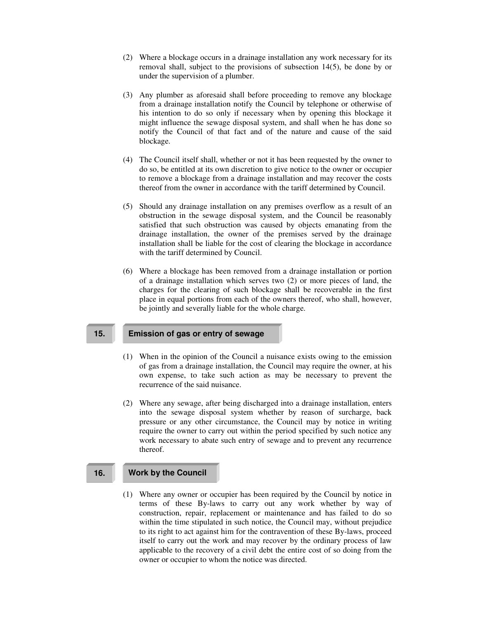- (2) Where a blockage occurs in a drainage installation any work necessary for its removal shall, subject to the provisions of subsection 14(5), be done by or under the supervision of a plumber.
- (3) Any plumber as aforesaid shall before proceeding to remove any blockage from a drainage installation notify the Council by telephone or otherwise of his intention to do so only if necessary when by opening this blockage it might influence the sewage disposal system, and shall when he has done so notify the Council of that fact and of the nature and cause of the said blockage.
- (4) The Council itself shall, whether or not it has been requested by the owner to do so, be entitled at its own discretion to give notice to the owner or occupier to remove a blockage from a drainage installation and may recover the costs thereof from the owner in accordance with the tariff determined by Council.
- (5) Should any drainage installation on any premises overflow as a result of an obstruction in the sewage disposal system, and the Council be reasonably satisfied that such obstruction was caused by objects emanating from the drainage installation, the owner of the premises served by the drainage installation shall be liable for the cost of clearing the blockage in accordance with the tariff determined by Council.
- (6) Where a blockage has been removed from a drainage installation or portion of a drainage installation which serves two (2) or more pieces of land, the charges for the clearing of such blockage shall be recoverable in the first place in equal portions from each of the owners thereof, who shall, however, be jointly and severally liable for the whole charge.

#### **15. Emission of gas or entry of sewage**

- (1) When in the opinion of the Council a nuisance exists owing to the emission of gas from a drainage installation, the Council may require the owner, at his own expense, to take such action as may be necessary to prevent the recurrence of the said nuisance.
- (2) Where any sewage, after being discharged into a drainage installation, enters into the sewage disposal system whether by reason of surcharge, back pressure or any other circumstance, the Council may by notice in writing require the owner to carry out within the period specified by such notice any work necessary to abate such entry of sewage and to prevent any recurrence thereof.

# **16. Work by the Council**

(1) Where any owner or occupier has been required by the Council by notice in terms of these By-laws to carry out any work whether by way of construction, repair, replacement or maintenance and has failed to do so within the time stipulated in such notice, the Council may, without prejudice to its right to act against him for the contravention of these By-laws, proceed itself to carry out the work and may recover by the ordinary process of law applicable to the recovery of a civil debt the entire cost of so doing from the owner or occupier to whom the notice was directed.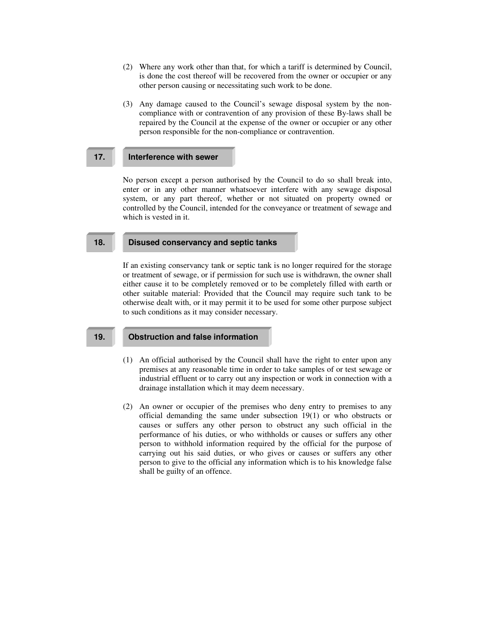- (2) Where any work other than that, for which a tariff is determined by Council, is done the cost thereof will be recovered from the owner or occupier or any other person causing or necessitating such work to be done.
- (3) Any damage caused to the Council's sewage disposal system by the noncompliance with or contravention of any provision of these By-laws shall be repaired by the Council at the expense of the owner or occupier or any other person responsible for the non-compliance or contravention.

### **17. Interference with sewer**

No person except a person authorised by the Council to do so shall break into, enter or in any other manner whatsoever interfere with any sewage disposal system, or any part thereof, whether or not situated on property owned or controlled by the Council, intended for the conveyance or treatment of sewage and which is vested in it.

## **18. Disused conservancy and septic tanks**

If an existing conservancy tank or septic tank is no longer required for the storage or treatment of sewage, or if permission for such use is withdrawn, the owner shall either cause it to be completely removed or to be completely filled with earth or other suitable material: Provided that the Council may require such tank to be otherwise dealt with, or it may permit it to be used for some other purpose subject to such conditions as it may consider necessary.

#### **19. Obstruction and false information**

- (1) An official authorised by the Council shall have the right to enter upon any premises at any reasonable time in order to take samples of or test sewage or industrial effluent or to carry out any inspection or work in connection with a drainage installation which it may deem necessary.
- (2) An owner or occupier of the premises who deny entry to premises to any official demanding the same under subsection 19(1) or who obstructs or causes or suffers any other person to obstruct any such official in the performance of his duties, or who withholds or causes or suffers any other person to withhold information required by the official for the purpose of carrying out his said duties, or who gives or causes or suffers any other person to give to the official any information which is to his knowledge false shall be guilty of an offence.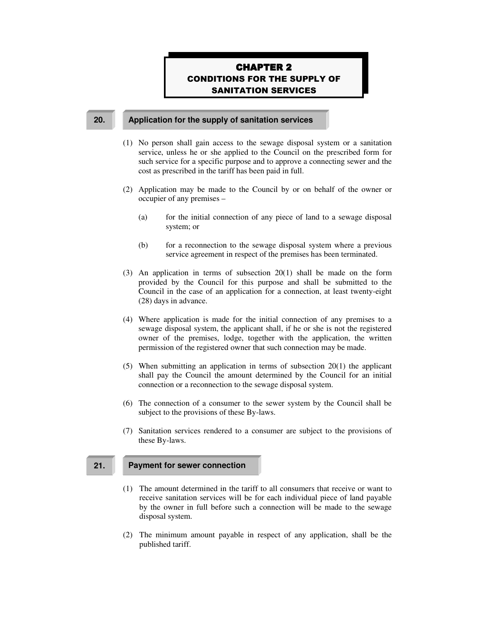# **CHAPTER 2 CONDITIONS FOR THE SUPPLY OF SANITATION SERVICES**

#### **20. Application for the supply of sanitation services**

- (1) No person shall gain access to the sewage disposal system or a sanitation service, unless he or she applied to the Council on the prescribed form for such service for a specific purpose and to approve a connecting sewer and the cost as prescribed in the tariff has been paid in full.
- (2) Application may be made to the Council by or on behalf of the owner or occupier of any premises –
	- (a) for the initial connection of any piece of land to a sewage disposal system; or
	- (b) for a reconnection to the sewage disposal system where a previous service agreement in respect of the premises has been terminated.
- (3) An application in terms of subsection 20(1) shall be made on the form provided by the Council for this purpose and shall be submitted to the Council in the case of an application for a connection, at least twenty-eight (28) days in advance.
- (4) Where application is made for the initial connection of any premises to a sewage disposal system, the applicant shall, if he or she is not the registered owner of the premises, lodge, together with the application, the written permission of the registered owner that such connection may be made.
- (5) When submitting an application in terms of subsection 20(1) the applicant shall pay the Council the amount determined by the Council for an initial connection or a reconnection to the sewage disposal system.
- (6) The connection of a consumer to the sewer system by the Council shall be subject to the provisions of these By-laws.
- (7) Sanitation services rendered to a consumer are subject to the provisions of these By-laws.

#### **21. Payment for sewer connection**

- (1) The amount determined in the tariff to all consumers that receive or want to receive sanitation services will be for each individual piece of land payable by the owner in full before such a connection will be made to the sewage disposal system.
- (2) The minimum amount payable in respect of any application, shall be the published tariff.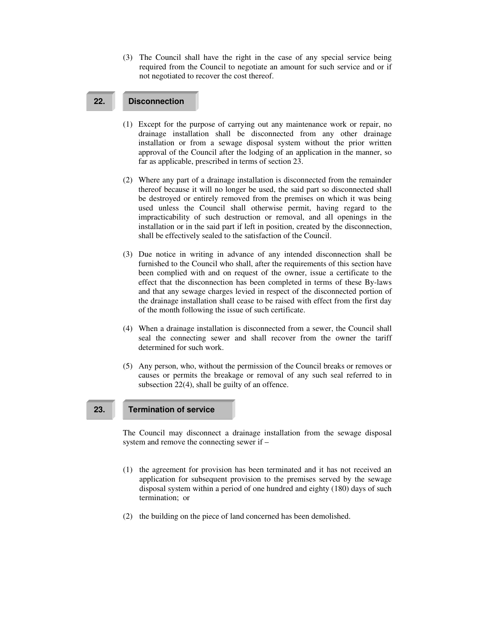(3) The Council shall have the right in the case of any special service being required from the Council to negotiate an amount for such service and or if not negotiated to recover the cost thereof.

# **22. Disconnection**

- (1) Except for the purpose of carrying out any maintenance work or repair, no drainage installation shall be disconnected from any other drainage installation or from a sewage disposal system without the prior written approval of the Council after the lodging of an application in the manner, so far as applicable, prescribed in terms of section 23.
- (2) Where any part of a drainage installation is disconnected from the remainder thereof because it will no longer be used, the said part so disconnected shall be destroyed or entirely removed from the premises on which it was being used unless the Council shall otherwise permit, having regard to the impracticability of such destruction or removal, and all openings in the installation or in the said part if left in position, created by the disconnection, shall be effectively sealed to the satisfaction of the Council.
- (3) Due notice in writing in advance of any intended disconnection shall be furnished to the Council who shall, after the requirements of this section have been complied with and on request of the owner, issue a certificate to the effect that the disconnection has been completed in terms of these By-laws and that any sewage charges levied in respect of the disconnected portion of the drainage installation shall cease to be raised with effect from the first day of the month following the issue of such certificate.
- (4) When a drainage installation is disconnected from a sewer, the Council shall seal the connecting sewer and shall recover from the owner the tariff determined for such work.
- (5) Any person, who, without the permission of the Council breaks or removes or causes or permits the breakage or removal of any such seal referred to in subsection 22(4), shall be guilty of an offence.

# **23. Termination of service**

The Council may disconnect a drainage installation from the sewage disposal system and remove the connecting sewer if –

- (1) the agreement for provision has been terminated and it has not received an application for subsequent provision to the premises served by the sewage disposal system within a period of one hundred and eighty (180) days of such termination; or
- (2) the building on the piece of land concerned has been demolished.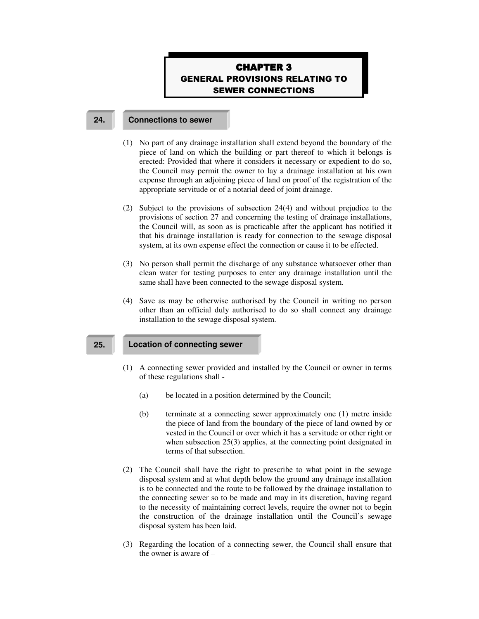# **CHAPTER 3 GENERAL PROVISIONS RELATING TO SEWER CONNECTIONS**

#### **24. Connections to sewer**

- (1) No part of any drainage installation shall extend beyond the boundary of the piece of land on which the building or part thereof to which it belongs is erected: Provided that where it considers it necessary or expedient to do so, the Council may permit the owner to lay a drainage installation at his own expense through an adjoining piece of land on proof of the registration of the appropriate servitude or of a notarial deed of joint drainage.
- (2) Subject to the provisions of subsection 24(4) and without prejudice to the provisions of section 27 and concerning the testing of drainage installations, the Council will, as soon as is practicable after the applicant has notified it that his drainage installation is ready for connection to the sewage disposal system, at its own expense effect the connection or cause it to be effected.
- (3) No person shall permit the discharge of any substance whatsoever other than clean water for testing purposes to enter any drainage installation until the same shall have been connected to the sewage disposal system.
- (4) Save as may be otherwise authorised by the Council in writing no person other than an official duly authorised to do so shall connect any drainage installation to the sewage disposal system.

## **25. Location of connecting sewer**

- (1) A connecting sewer provided and installed by the Council or owner in terms of these regulations shall -
	- (a) be located in a position determined by the Council;
	- (b) terminate at a connecting sewer approximately one (1) metre inside the piece of land from the boundary of the piece of land owned by or vested in the Council or over which it has a servitude or other right or when subsection 25(3) applies, at the connecting point designated in terms of that subsection.
- (2) The Council shall have the right to prescribe to what point in the sewage disposal system and at what depth below the ground any drainage installation is to be connected and the route to be followed by the drainage installation to the connecting sewer so to be made and may in its discretion, having regard to the necessity of maintaining correct levels, require the owner not to begin the construction of the drainage installation until the Council's sewage disposal system has been laid.
- (3) Regarding the location of a connecting sewer, the Council shall ensure that the owner is aware of –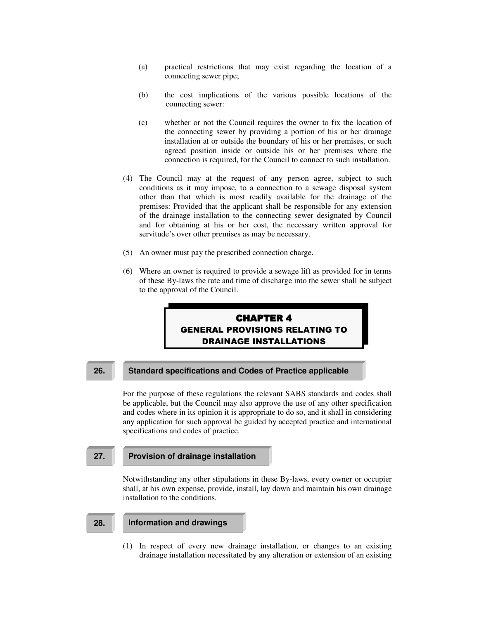- (a) practical restrictions that may exist regarding the location of a connecting sewer pipe;
- (b) the cost implications of the various possible locations of the connecting sewer:
- (c) whether or not the Council requires the owner to fix the location of the connecting sewer by providing a portion of his or her drainage installation at or outside the boundary of his or her premises, or such agreed position inside or outside his or her premises where the connection is required, for the Council to connect to such installation.
- (4) The Council may at the request of any person agree, subject to such conditions as it may impose, to a connection to a sewage disposal system other than that which is most readily available for the drainage of the premises: Provided that the applicant shall be responsible for any extension of the drainage installation to the connecting sewer designated by Council and for obtaining at his or her cost, the necessary written approval for servitude's over other premises as may be necessary.
- (5) An owner must pay the prescribed connection charge.
- (6) Where an owner is required to provide a sewage lift as provided for in terms of these By-laws the rate and time of discharge into the sewer shall be subject to the approval of the Council.

# **CHAPTER 4 GENERAL PROVISIONS RELATING TO DRAINAGE INSTALLATIONS**

# **26. Standard specifications and Codes of Practice applicable**

For the purpose of these regulations the relevant SABS standards and codes shall be applicable, but the Council may also approve the use of any other specification and codes where in its opinion it is appropriate to do so, and it shall in considering any application for such approval be guided by accepted practice and international specifications and codes of practice.

### **27. Provision of drainage installation**

Notwithstanding any other stipulations in these By-laws, every owner or occupier shall, at his own expense, provide, install, lay down and maintain his own drainage installation to the conditions.

#### **28. Information and drawings**

(1) In respect of every new drainage installation, or changes to an existing drainage installation necessitated by any alteration or extension of an existing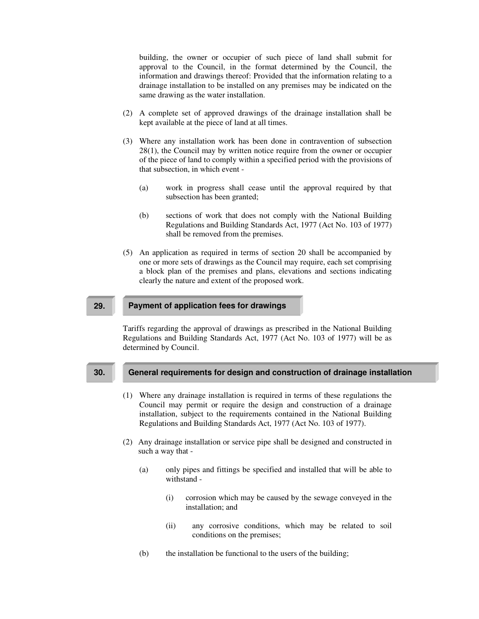building, the owner or occupier of such piece of land shall submit for approval to the Council, in the format determined by the Council, the information and drawings thereof: Provided that the information relating to a drainage installation to be installed on any premises may be indicated on the same drawing as the water installation.

- (2) A complete set of approved drawings of the drainage installation shall be kept available at the piece of land at all times.
- (3) Where any installation work has been done in contravention of subsection 28(1), the Council may by written notice require from the owner or occupier of the piece of land to comply within a specified period with the provisions of that subsection, in which event -
	- (a) work in progress shall cease until the approval required by that subsection has been granted;
	- (b) sections of work that does not comply with the National Building Regulations and Building Standards Act, 1977 (Act No. 103 of 1977) shall be removed from the premises.
- (5) An application as required in terms of section 20 shall be accompanied by one or more sets of drawings as the Council may require, each set comprising a block plan of the premises and plans, elevations and sections indicating clearly the nature and extent of the proposed work.

### **29. Payment of application fees for drawings**

Tariffs regarding the approval of drawings as prescribed in the National Building Regulations and Building Standards Act, 1977 (Act No. 103 of 1977) will be as determined by Council.

# **30. General requirements for design and construction of drainage installation**

- (1) Where any drainage installation is required in terms of these regulations the Council may permit or require the design and construction of a drainage installation, subject to the requirements contained in the National Building Regulations and Building Standards Act, 1977 (Act No. 103 of 1977).
- (2) Any drainage installation or service pipe shall be designed and constructed in such a way that -
	- (a) only pipes and fittings be specified and installed that will be able to withstand -
		- (i) corrosion which may be caused by the sewage conveyed in the installation; and
		- (ii) any corrosive conditions, which may be related to soil conditions on the premises;
	- (b) the installation be functional to the users of the building;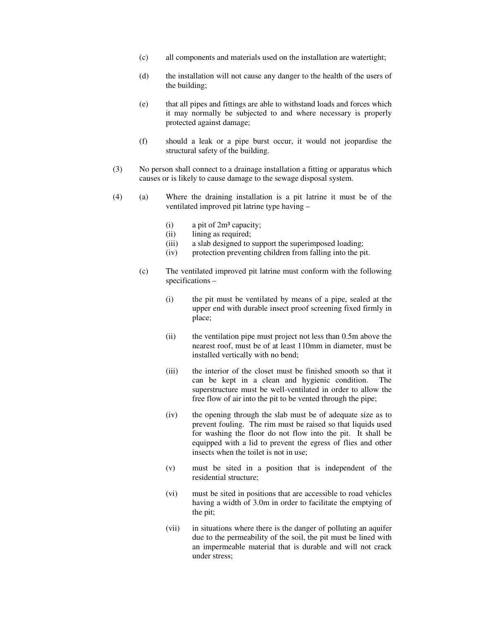- (c) all components and materials used on the installation are watertight;
- (d) the installation will not cause any danger to the health of the users of the building;
- (e) that all pipes and fittings are able to withstand loads and forces which it may normally be subjected to and where necessary is properly protected against damage;
- (f) should a leak or a pipe burst occur, it would not jeopardise the structural safety of the building.
- (3) No person shall connect to a drainage installation a fitting or apparatus which causes or is likely to cause damage to the sewage disposal system.
- (4) (a) Where the draining installation is a pit latrine it must be of the ventilated improved pit latrine type having –
	- (i) a pit of  $2m<sup>3</sup>$  capacity;
	- (ii) lining as required;
	- (iii) a slab designed to support the superimposed loading;
	- (iv) protection preventing children from falling into the pit.
	- (c) The ventilated improved pit latrine must conform with the following specifications –
		- (i) the pit must be ventilated by means of a pipe, sealed at the upper end with durable insect proof screening fixed firmly in place;
		- (ii) the ventilation pipe must project not less than 0.5m above the nearest roof, must be of at least 110mm in diameter, must be installed vertically with no bend;
		- (iii) the interior of the closet must be finished smooth so that it can be kept in a clean and hygienic condition. The superstructure must be well-ventilated in order to allow the free flow of air into the pit to be vented through the pipe;
		- (iv) the opening through the slab must be of adequate size as to prevent fouling. The rim must be raised so that liquids used for washing the floor do not flow into the pit. It shall be equipped with a lid to prevent the egress of flies and other insects when the toilet is not in use;
		- (v) must be sited in a position that is independent of the residential structure;
		- (vi) must be sited in positions that are accessible to road vehicles having a width of 3.0m in order to facilitate the emptying of the pit;
		- (vii) in situations where there is the danger of polluting an aquifer due to the permeability of the soil, the pit must be lined with an impermeable material that is durable and will not crack under stress;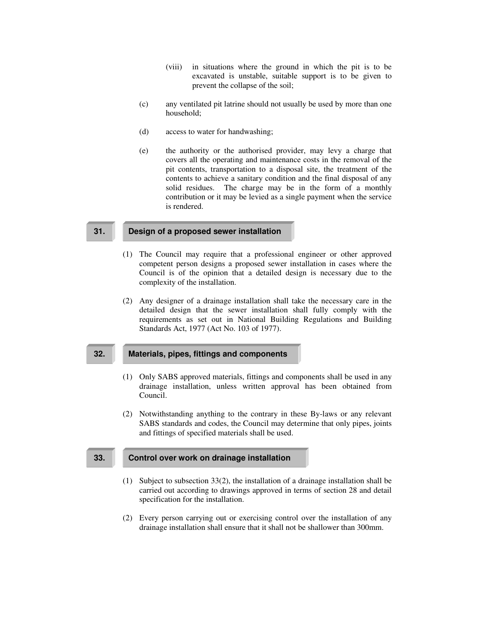- (viii) in situations where the ground in which the pit is to be excavated is unstable, suitable support is to be given to prevent the collapse of the soil;
- (c) any ventilated pit latrine should not usually be used by more than one household;
- (d) access to water for handwashing;
- (e) the authority or the authorised provider, may levy a charge that covers all the operating and maintenance costs in the removal of the pit contents, transportation to a disposal site, the treatment of the contents to achieve a sanitary condition and the final disposal of any solid residues. The charge may be in the form of a monthly contribution or it may be levied as a single payment when the service is rendered.

# **31. Design of a proposed sewer installation**

- (1) The Council may require that a professional engineer or other approved competent person designs a proposed sewer installation in cases where the Council is of the opinion that a detailed design is necessary due to the complexity of the installation.
- (2) Any designer of a drainage installation shall take the necessary care in the detailed design that the sewer installation shall fully comply with the requirements as set out in National Building Regulations and Building Standards Act, 1977 (Act No. 103 of 1977).

#### **32. Materials, pipes, fittings and components**

- (1) Only SABS approved materials, fittings and components shall be used in any drainage installation, unless written approval has been obtained from Council.
- (2) Notwithstanding anything to the contrary in these By-laws or any relevant SABS standards and codes, the Council may determine that only pipes, joints and fittings of specified materials shall be used.

# **33. Control over work on drainage installation**

- (1) Subject to subsection 33(2), the installation of a drainage installation shall be carried out according to drawings approved in terms of section 28 and detail specification for the installation.
- (2) Every person carrying out or exercising control over the installation of any drainage installation shall ensure that it shall not be shallower than 300mm.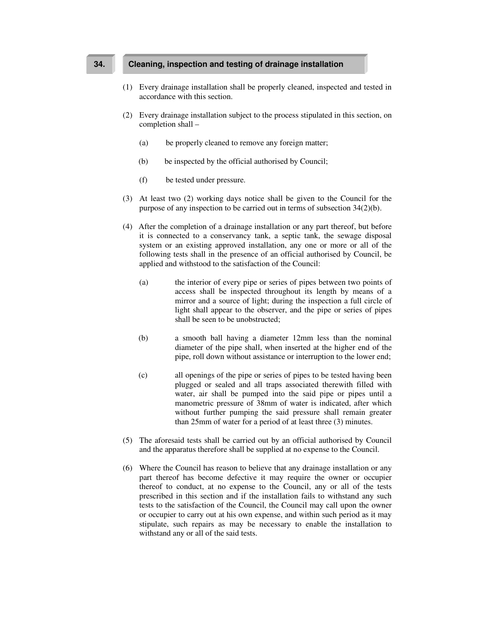# **34. Cleaning, inspection and testing of drainage installation**

- (1) Every drainage installation shall be properly cleaned, inspected and tested in accordance with this section.
- (2) Every drainage installation subject to the process stipulated in this section, on completion shall –
	- (a) be properly cleaned to remove any foreign matter;
	- (b) be inspected by the official authorised by Council;
	- (f) be tested under pressure.
- (3) At least two (2) working days notice shall be given to the Council for the purpose of any inspection to be carried out in terms of subsection 34(2)(b).
- (4) After the completion of a drainage installation or any part thereof, but before it is connected to a conservancy tank, a septic tank, the sewage disposal system or an existing approved installation, any one or more or all of the following tests shall in the presence of an official authorised by Council, be applied and withstood to the satisfaction of the Council:
	- (a) the interior of every pipe or series of pipes between two points of access shall be inspected throughout its length by means of a mirror and a source of light; during the inspection a full circle of light shall appear to the observer, and the pipe or series of pipes shall be seen to be unobstructed;
	- (b) a smooth ball having a diameter 12mm less than the nominal diameter of the pipe shall, when inserted at the higher end of the pipe, roll down without assistance or interruption to the lower end;
	- (c) all openings of the pipe or series of pipes to be tested having been plugged or sealed and all traps associated therewith filled with water, air shall be pumped into the said pipe or pipes until a manometric pressure of 38mm of water is indicated, after which without further pumping the said pressure shall remain greater than 25mm of water for a period of at least three (3) minutes.
- (5) The aforesaid tests shall be carried out by an official authorised by Council and the apparatus therefore shall be supplied at no expense to the Council.
- (6) Where the Council has reason to believe that any drainage installation or any part thereof has become defective it may require the owner or occupier thereof to conduct, at no expense to the Council, any or all of the tests prescribed in this section and if the installation fails to withstand any such tests to the satisfaction of the Council, the Council may call upon the owner or occupier to carry out at his own expense, and within such period as it may stipulate, such repairs as may be necessary to enable the installation to withstand any or all of the said tests.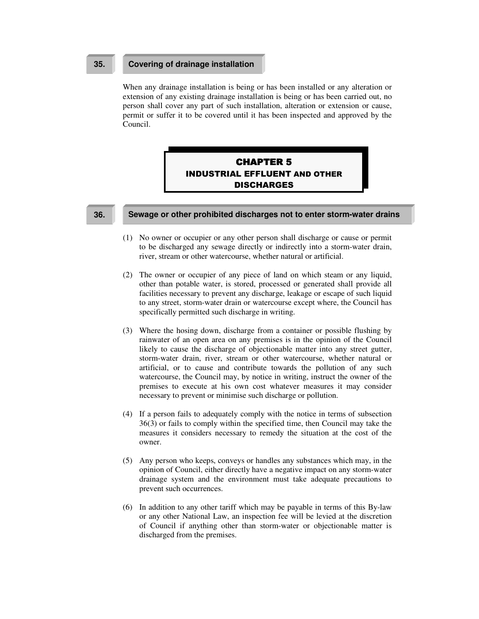## **35. Covering of drainage installation**

When any drainage installation is being or has been installed or any alteration or extension of any existing drainage installation is being or has been carried out, no person shall cover any part of such installation, alteration or extension or cause, permit or suffer it to be covered until it has been inspected and approved by the Council.

# **CHAPTER 5 INDUSTRIAL EFFLUENT AND OTHER DISCHARGES**

#### **36. Sewage or other prohibited discharges not to enter storm-water drains**

- (1) No owner or occupier or any other person shall discharge or cause or permit to be discharged any sewage directly or indirectly into a storm-water drain, river, stream or other watercourse, whether natural or artificial.
- (2) The owner or occupier of any piece of land on which steam or any liquid, other than potable water, is stored, processed or generated shall provide all facilities necessary to prevent any discharge, leakage or escape of such liquid to any street, storm-water drain or watercourse except where, the Council has specifically permitted such discharge in writing.
- (3) Where the hosing down, discharge from a container or possible flushing by rainwater of an open area on any premises is in the opinion of the Council likely to cause the discharge of objectionable matter into any street gutter, storm-water drain, river, stream or other watercourse, whether natural or artificial, or to cause and contribute towards the pollution of any such watercourse, the Council may, by notice in writing, instruct the owner of the premises to execute at his own cost whatever measures it may consider necessary to prevent or minimise such discharge or pollution.
- (4) If a person fails to adequately comply with the notice in terms of subsection 36(3) or fails to comply within the specified time, then Council may take the measures it considers necessary to remedy the situation at the cost of the owner.
- (5) Any person who keeps, conveys or handles any substances which may, in the opinion of Council, either directly have a negative impact on any storm-water drainage system and the environment must take adequate precautions to prevent such occurrences.
- (6) In addition to any other tariff which may be payable in terms of this By-law or any other National Law, an inspection fee will be levied at the discretion of Council if anything other than storm-water or objectionable matter is discharged from the premises.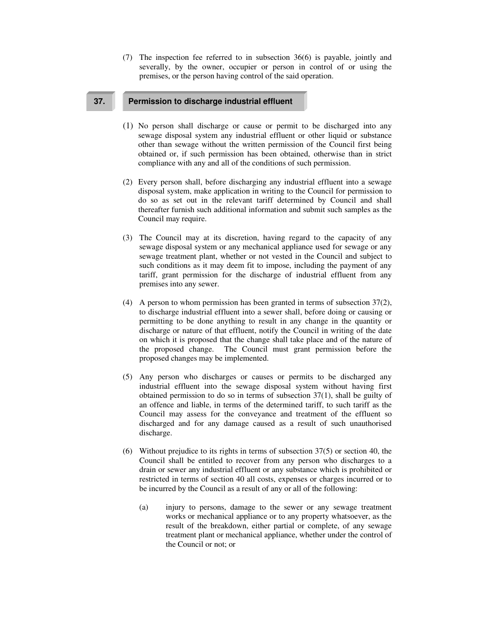(7) The inspection fee referred to in subsection 36(6) is payable, jointly and severally, by the owner, occupier or person in control of or using the premises, or the person having control of the said operation.

# **37. Permission to discharge industrial effluent**

- (1) No person shall discharge or cause or permit to be discharged into any sewage disposal system any industrial effluent or other liquid or substance other than sewage without the written permission of the Council first being obtained or, if such permission has been obtained, otherwise than in strict compliance with any and all of the conditions of such permission.
- (2) Every person shall, before discharging any industrial effluent into a sewage disposal system, make application in writing to the Council for permission to do so as set out in the relevant tariff determined by Council and shall thereafter furnish such additional information and submit such samples as the Council may require.
- (3) The Council may at its discretion, having regard to the capacity of any sewage disposal system or any mechanical appliance used for sewage or any sewage treatment plant, whether or not vested in the Council and subject to such conditions as it may deem fit to impose, including the payment of any tariff, grant permission for the discharge of industrial effluent from any premises into any sewer.
- (4) A person to whom permission has been granted in terms of subsection 37(2), to discharge industrial effluent into a sewer shall, before doing or causing or permitting to be done anything to result in any change in the quantity or discharge or nature of that effluent, notify the Council in writing of the date on which it is proposed that the change shall take place and of the nature of the proposed change. The Council must grant permission before the proposed changes may be implemented.
- (5) Any person who discharges or causes or permits to be discharged any industrial effluent into the sewage disposal system without having first obtained permission to do so in terms of subsection 37(1), shall be guilty of an offence and liable, in terms of the determined tariff, to such tariff as the Council may assess for the conveyance and treatment of the effluent so discharged and for any damage caused as a result of such unauthorised discharge.
- (6) Without prejudice to its rights in terms of subsection 37(5) or section 40, the Council shall be entitled to recover from any person who discharges to a drain or sewer any industrial effluent or any substance which is prohibited or restricted in terms of section 40 all costs, expenses or charges incurred or to be incurred by the Council as a result of any or all of the following:
	- (a) injury to persons, damage to the sewer or any sewage treatment works or mechanical appliance or to any property whatsoever, as the result of the breakdown, either partial or complete, of any sewage treatment plant or mechanical appliance, whether under the control of the Council or not; or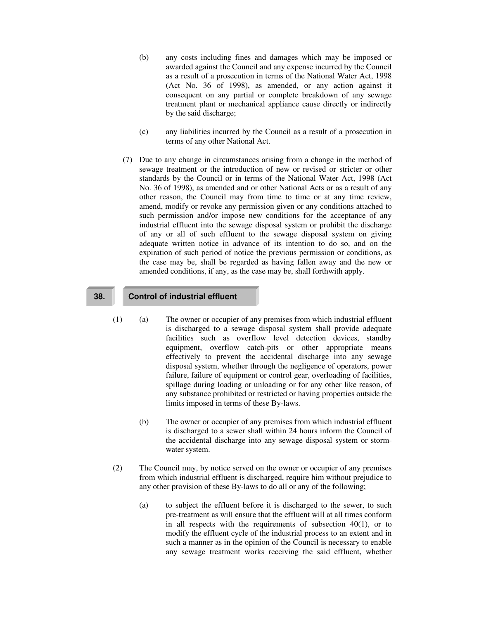- (b) any costs including fines and damages which may be imposed or awarded against the Council and any expense incurred by the Council as a result of a prosecution in terms of the National Water Act, 1998 (Act No. 36 of 1998), as amended, or any action against it consequent on any partial or complete breakdown of any sewage treatment plant or mechanical appliance cause directly or indirectly by the said discharge;
- (c) any liabilities incurred by the Council as a result of a prosecution in terms of any other National Act.
- (7) Due to any change in circumstances arising from a change in the method of sewage treatment or the introduction of new or revised or stricter or other standards by the Council or in terms of the National Water Act, 1998 (Act No. 36 of 1998), as amended and or other National Acts or as a result of any other reason, the Council may from time to time or at any time review, amend, modify or revoke any permission given or any conditions attached to such permission and/or impose new conditions for the acceptance of any industrial effluent into the sewage disposal system or prohibit the discharge of any or all of such effluent to the sewage disposal system on giving adequate written notice in advance of its intention to do so, and on the expiration of such period of notice the previous permission or conditions, as the case may be, shall be regarded as having fallen away and the new or amended conditions, if any, as the case may be, shall forthwith apply.

# **38. Control of industrial effluent**

- (1) (a) The owner or occupier of any premises from which industrial effluent is discharged to a sewage disposal system shall provide adequate facilities such as overflow level detection devices, standby equipment, overflow catch-pits or other appropriate means effectively to prevent the accidental discharge into any sewage disposal system, whether through the negligence of operators, power failure, failure of equipment or control gear, overloading of facilities, spillage during loading or unloading or for any other like reason, of any substance prohibited or restricted or having properties outside the limits imposed in terms of these By-laws.
	- (b) The owner or occupier of any premises from which industrial effluent is discharged to a sewer shall within 24 hours inform the Council of the accidental discharge into any sewage disposal system or stormwater system.
- (2) The Council may, by notice served on the owner or occupier of any premises from which industrial effluent is discharged, require him without prejudice to any other provision of these By-laws to do all or any of the following;
	- (a) to subject the effluent before it is discharged to the sewer, to such pre-treatment as will ensure that the effluent will at all times conform in all respects with the requirements of subsection 40(1), or to modify the effluent cycle of the industrial process to an extent and in such a manner as in the opinion of the Council is necessary to enable any sewage treatment works receiving the said effluent, whether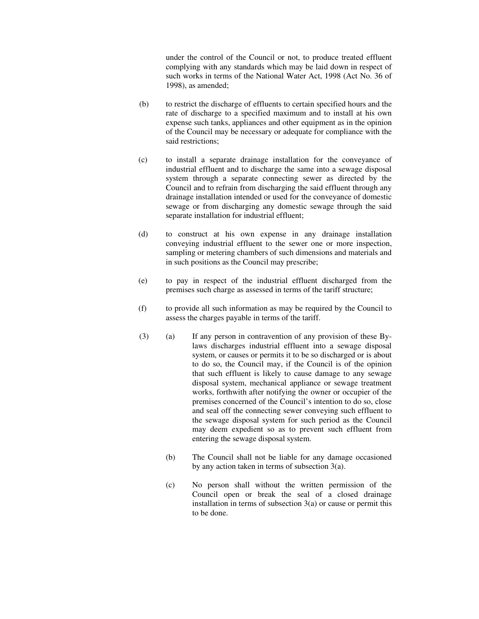under the control of the Council or not, to produce treated effluent complying with any standards which may be laid down in respect of such works in terms of the National Water Act, 1998 (Act No. 36 of 1998), as amended;

- (b) to restrict the discharge of effluents to certain specified hours and the rate of discharge to a specified maximum and to install at his own expense such tanks, appliances and other equipment as in the opinion of the Council may be necessary or adequate for compliance with the said restrictions;
- (c) to install a separate drainage installation for the conveyance of industrial effluent and to discharge the same into a sewage disposal system through a separate connecting sewer as directed by the Council and to refrain from discharging the said effluent through any drainage installation intended or used for the conveyance of domestic sewage or from discharging any domestic sewage through the said separate installation for industrial effluent;
- (d) to construct at his own expense in any drainage installation conveying industrial effluent to the sewer one or more inspection, sampling or metering chambers of such dimensions and materials and in such positions as the Council may prescribe;
- (e) to pay in respect of the industrial effluent discharged from the premises such charge as assessed in terms of the tariff structure;
- (f) to provide all such information as may be required by the Council to assess the charges payable in terms of the tariff.
- (3) (a) If any person in contravention of any provision of these Bylaws discharges industrial effluent into a sewage disposal system, or causes or permits it to be so discharged or is about to do so, the Council may, if the Council is of the opinion that such effluent is likely to cause damage to any sewage disposal system, mechanical appliance or sewage treatment works, forthwith after notifying the owner or occupier of the premises concerned of the Council's intention to do so, close and seal off the connecting sewer conveying such effluent to the sewage disposal system for such period as the Council may deem expedient so as to prevent such effluent from entering the sewage disposal system.
	- (b) The Council shall not be liable for any damage occasioned by any action taken in terms of subsection 3(a).
	- (c) No person shall without the written permission of the Council open or break the seal of a closed drainage installation in terms of subsection  $3(a)$  or cause or permit this to be done.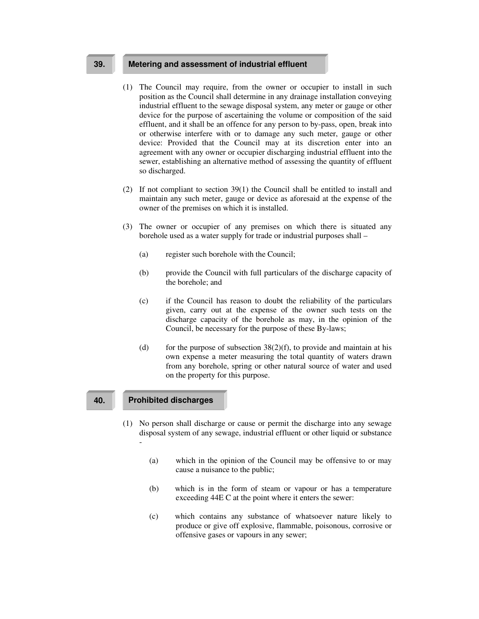## **39. Metering and assessment of industrial effluent**

- (1) The Council may require, from the owner or occupier to install in such position as the Council shall determine in any drainage installation conveying industrial effluent to the sewage disposal system, any meter or gauge or other device for the purpose of ascertaining the volume or composition of the said effluent, and it shall be an offence for any person to by-pass, open, break into or otherwise interfere with or to damage any such meter, gauge or other device: Provided that the Council may at its discretion enter into an agreement with any owner or occupier discharging industrial effluent into the sewer, establishing an alternative method of assessing the quantity of effluent so discharged.
- (2) If not compliant to section 39(1) the Council shall be entitled to install and maintain any such meter, gauge or device as aforesaid at the expense of the owner of the premises on which it is installed.
- (3) The owner or occupier of any premises on which there is situated any borehole used as a water supply for trade or industrial purposes shall –
	- (a) register such borehole with the Council;
	- (b) provide the Council with full particulars of the discharge capacity of the borehole; and
	- (c) if the Council has reason to doubt the reliability of the particulars given, carry out at the expense of the owner such tests on the discharge capacity of the borehole as may, in the opinion of the Council, be necessary for the purpose of these By-laws;
	- (d) for the purpose of subsection  $38(2)(f)$ , to provide and maintain at his own expense a meter measuring the total quantity of waters drawn from any borehole, spring or other natural source of water and used on the property for this purpose.

#### **40. Prohibited discharges**

- (1) No person shall discharge or cause or permit the discharge into any sewage disposal system of any sewage, industrial effluent or other liquid or substance -
	- (a) which in the opinion of the Council may be offensive to or may cause a nuisance to the public;
	- (b) which is in the form of steam or vapour or has a temperature exceeding 44E C at the point where it enters the sewer:
	- (c) which contains any substance of whatsoever nature likely to produce or give off explosive, flammable, poisonous, corrosive or offensive gases or vapours in any sewer;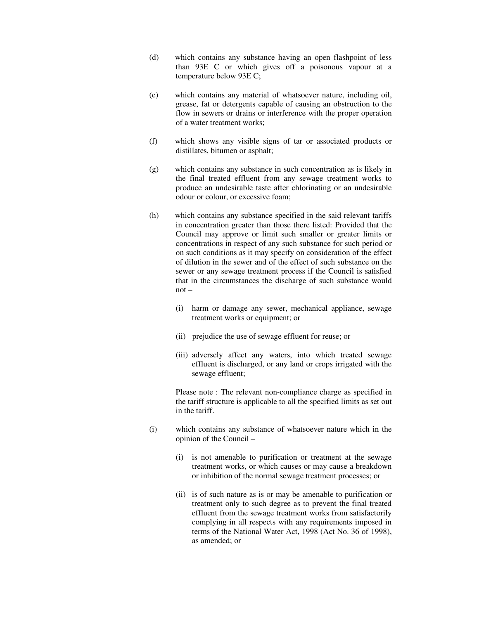- (d) which contains any substance having an open flashpoint of less than 93E C or which gives off a poisonous vapour at a temperature below 93E C;
- (e) which contains any material of whatsoever nature, including oil, grease, fat or detergents capable of causing an obstruction to the flow in sewers or drains or interference with the proper operation of a water treatment works;
- (f) which shows any visible signs of tar or associated products or distillates, bitumen or asphalt;
- (g) which contains any substance in such concentration as is likely in the final treated effluent from any sewage treatment works to produce an undesirable taste after chlorinating or an undesirable odour or colour, or excessive foam;
- (h) which contains any substance specified in the said relevant tariffs in concentration greater than those there listed: Provided that the Council may approve or limit such smaller or greater limits or concentrations in respect of any such substance for such period or on such conditions as it may specify on consideration of the effect of dilution in the sewer and of the effect of such substance on the sewer or any sewage treatment process if the Council is satisfied that in the circumstances the discharge of such substance would not –
	- (i) harm or damage any sewer, mechanical appliance, sewage treatment works or equipment; or
	- (ii) prejudice the use of sewage effluent for reuse; or
	- (iii) adversely affect any waters, into which treated sewage effluent is discharged, or any land or crops irrigated with the sewage effluent;

Please note : The relevant non-compliance charge as specified in the tariff structure is applicable to all the specified limits as set out in the tariff.

- (i) which contains any substance of whatsoever nature which in the opinion of the Council –
	- (i) is not amenable to purification or treatment at the sewage treatment works, or which causes or may cause a breakdown or inhibition of the normal sewage treatment processes; or
	- (ii) is of such nature as is or may be amenable to purification or treatment only to such degree as to prevent the final treated effluent from the sewage treatment works from satisfactorily complying in all respects with any requirements imposed in terms of the National Water Act, 1998 (Act No. 36 of 1998), as amended; or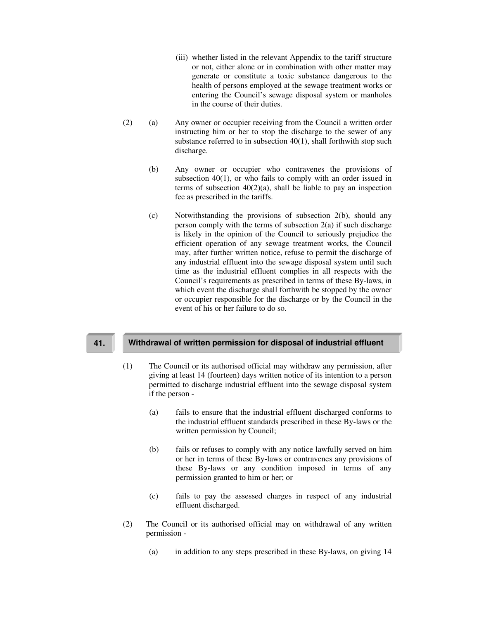- (iii) whether listed in the relevant Appendix to the tariff structure or not, either alone or in combination with other matter may generate or constitute a toxic substance dangerous to the health of persons employed at the sewage treatment works or entering the Council's sewage disposal system or manholes in the course of their duties.
- (2) (a) Any owner or occupier receiving from the Council a written order instructing him or her to stop the discharge to the sewer of any substance referred to in subsection 40(1), shall forthwith stop such discharge.
	- (b) Any owner or occupier who contravenes the provisions of subsection 40(1), or who fails to comply with an order issued in terms of subsection  $40(2)(a)$ , shall be liable to pay an inspection fee as prescribed in the tariffs.
	- (c) Notwithstanding the provisions of subsection 2(b), should any person comply with the terms of subsection  $2(a)$  if such discharge is likely in the opinion of the Council to seriously prejudice the efficient operation of any sewage treatment works, the Council may, after further written notice, refuse to permit the discharge of any industrial effluent into the sewage disposal system until such time as the industrial effluent complies in all respects with the Council's requirements as prescribed in terms of these By-laws, in which event the discharge shall forthwith be stopped by the owner or occupier responsible for the discharge or by the Council in the event of his or her failure to do so.

#### **41. Withdrawal of written permission for disposal of industrial effluent**

- (1) The Council or its authorised official may withdraw any permission, after giving at least 14 (fourteen) days written notice of its intention to a person permitted to discharge industrial effluent into the sewage disposal system if the person -
	- (a) fails to ensure that the industrial effluent discharged conforms to the industrial effluent standards prescribed in these By-laws or the written permission by Council;
	- (b) fails or refuses to comply with any notice lawfully served on him or her in terms of these By-laws or contravenes any provisions of these By-laws or any condition imposed in terms of any permission granted to him or her; or
	- (c) fails to pay the assessed charges in respect of any industrial effluent discharged.
- (2) The Council or its authorised official may on withdrawal of any written permission -
	- (a) in addition to any steps prescribed in these By-laws, on giving 14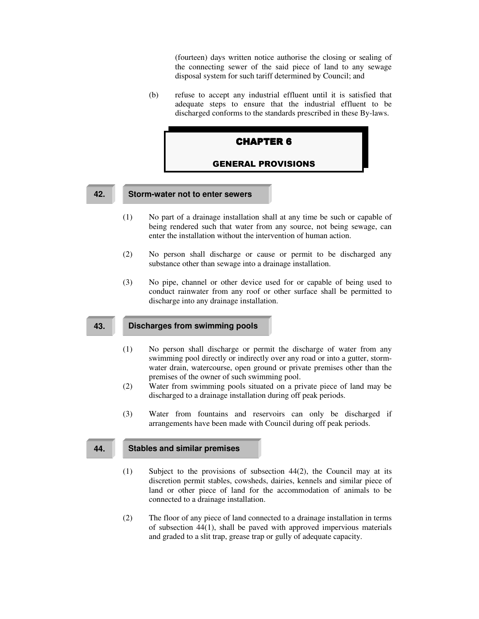(fourteen) days written notice authorise the closing or sealing of the connecting sewer of the said piece of land to any sewage disposal system for such tariff determined by Council; and

(b) refuse to accept any industrial effluent until it is satisfied that adequate steps to ensure that the industrial effluent to be discharged conforms to the standards prescribed in these By-laws.



#### **42. Storm-water not to enter sewers**

- (1) No part of a drainage installation shall at any time be such or capable of being rendered such that water from any source, not being sewage, can enter the installation without the intervention of human action.
- (2) No person shall discharge or cause or permit to be discharged any substance other than sewage into a drainage installation.
- (3) No pipe, channel or other device used for or capable of being used to conduct rainwater from any roof or other surface shall be permitted to discharge into any drainage installation.

#### **43. Discharges from swimming pools**

- (1) No person shall discharge or permit the discharge of water from any swimming pool directly or indirectly over any road or into a gutter, stormwater drain, watercourse, open ground or private premises other than the premises of the owner of such swimming pool.
- (2) Water from swimming pools situated on a private piece of land may be discharged to a drainage installation during off peak periods.
- (3) Water from fountains and reservoirs can only be discharged if arrangements have been made with Council during off peak periods.

### **44. Stables and similar premises**

- (1) Subject to the provisions of subsection 44(2), the Council may at its discretion permit stables, cowsheds, dairies, kennels and similar piece of land or other piece of land for the accommodation of animals to be connected to a drainage installation.
- (2) The floor of any piece of land connected to a drainage installation in terms of subsection 44(1), shall be paved with approved impervious materials and graded to a slit trap, grease trap or gully of adequate capacity.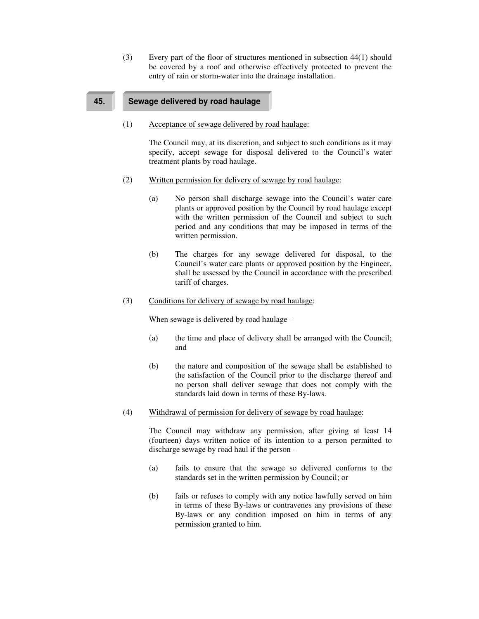(3) Every part of the floor of structures mentioned in subsection 44(1) should be covered by a roof and otherwise effectively protected to prevent the entry of rain or storm-water into the drainage installation.

# **45. Sewage delivered by road haulage**

(1) Acceptance of sewage delivered by road haulage:

The Council may, at its discretion, and subject to such conditions as it may specify, accept sewage for disposal delivered to the Council's water treatment plants by road haulage.

- (2) Written permission for delivery of sewage by road haulage:
	- (a) No person shall discharge sewage into the Council's water care plants or approved position by the Council by road haulage except with the written permission of the Council and subject to such period and any conditions that may be imposed in terms of the written permission.
	- (b) The charges for any sewage delivered for disposal, to the Council's water care plants or approved position by the Engineer, shall be assessed by the Council in accordance with the prescribed tariff of charges.
- (3) Conditions for delivery of sewage by road haulage:

When sewage is delivered by road haulage –

- (a) the time and place of delivery shall be arranged with the Council; and
- (b) the nature and composition of the sewage shall be established to the satisfaction of the Council prior to the discharge thereof and no person shall deliver sewage that does not comply with the standards laid down in terms of these By-laws.
- (4) Withdrawal of permission for delivery of sewage by road haulage:

The Council may withdraw any permission, after giving at least 14 (fourteen) days written notice of its intention to a person permitted to discharge sewage by road haul if the person –

- (a) fails to ensure that the sewage so delivered conforms to the standards set in the written permission by Council; or
- (b) fails or refuses to comply with any notice lawfully served on him in terms of these By-laws or contravenes any provisions of these By-laws or any condition imposed on him in terms of any permission granted to him.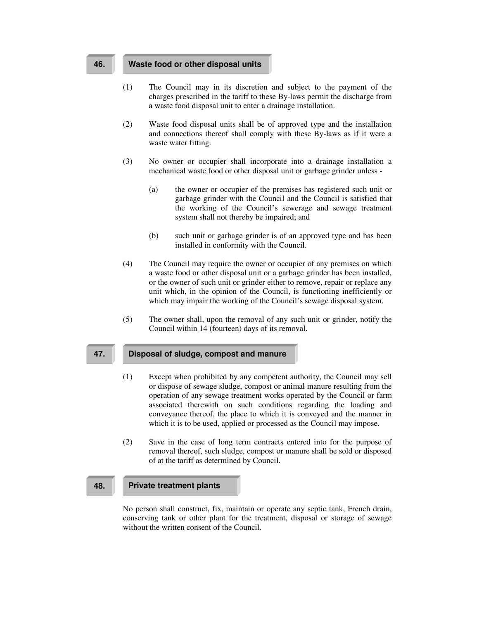#### **46. Waste food or other disposal units**

- (1) The Council may in its discretion and subject to the payment of the charges prescribed in the tariff to these By-laws permit the discharge from a waste food disposal unit to enter a drainage installation.
- (2) Waste food disposal units shall be of approved type and the installation and connections thereof shall comply with these By-laws as if it were a waste water fitting.
- (3) No owner or occupier shall incorporate into a drainage installation a mechanical waste food or other disposal unit or garbage grinder unless -
	- (a) the owner or occupier of the premises has registered such unit or garbage grinder with the Council and the Council is satisfied that the working of the Council's sewerage and sewage treatment system shall not thereby be impaired; and
	- (b) such unit or garbage grinder is of an approved type and has been installed in conformity with the Council.
- (4) The Council may require the owner or occupier of any premises on which a waste food or other disposal unit or a garbage grinder has been installed, or the owner of such unit or grinder either to remove, repair or replace any unit which, in the opinion of the Council, is functioning inefficiently or which may impair the working of the Council's sewage disposal system.
- (5) The owner shall, upon the removal of any such unit or grinder, notify the Council within 14 (fourteen) days of its removal.

#### **47. Disposal of sludge, compost and manure**

- (1) Except when prohibited by any competent authority, the Council may sell or dispose of sewage sludge, compost or animal manure resulting from the operation of any sewage treatment works operated by the Council or farm associated therewith on such conditions regarding the loading and conveyance thereof, the place to which it is conveyed and the manner in which it is to be used, applied or processed as the Council may impose.
- (2) Save in the case of long term contracts entered into for the purpose of removal thereof, such sludge, compost or manure shall be sold or disposed of at the tariff as determined by Council.

# **48. Private treatment plants**

No person shall construct, fix, maintain or operate any septic tank, French drain, conserving tank or other plant for the treatment, disposal or storage of sewage without the written consent of the Council.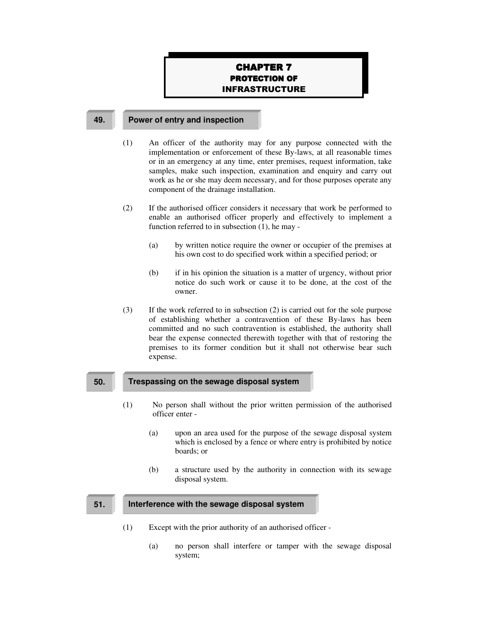# **CHAPTER 7 PROTECTION OF INFRASTRUCTURE**

#### **49. Power of entry and inspection**

- (1) An officer of the authority may for any purpose connected with the implementation or enforcement of these By-laws, at all reasonable times or in an emergency at any time, enter premises, request information, take samples, make such inspection, examination and enquiry and carry out work as he or she may deem necessary, and for those purposes operate any component of the drainage installation.
- (2) If the authorised officer considers it necessary that work be performed to enable an authorised officer properly and effectively to implement a function referred to in subsection (1), he may -
	- (a) by written notice require the owner or occupier of the premises at his own cost to do specified work within a specified period; or
	- (b) if in his opinion the situation is a matter of urgency, without prior notice do such work or cause it to be done, at the cost of the owner.
- (3) If the work referred to in subsection (2) is carried out for the sole purpose of establishing whether a contravention of these By-laws has been committed and no such contravention is established, the authority shall bear the expense connected therewith together with that of restoring the premises to its former condition but it shall not otherwise bear such expense.

# **50. Trespassing on the sewage disposal system**

- (1) No person shall without the prior written permission of the authorised officer enter -
	- (a) upon an area used for the purpose of the sewage disposal system which is enclosed by a fence or where entry is prohibited by notice boards; or
	- (b) a structure used by the authority in connection with its sewage disposal system.

#### **51. Interference with the sewage disposal system**

- (1) Except with the prior authority of an authorised officer
	- (a) no person shall interfere or tamper with the sewage disposal system;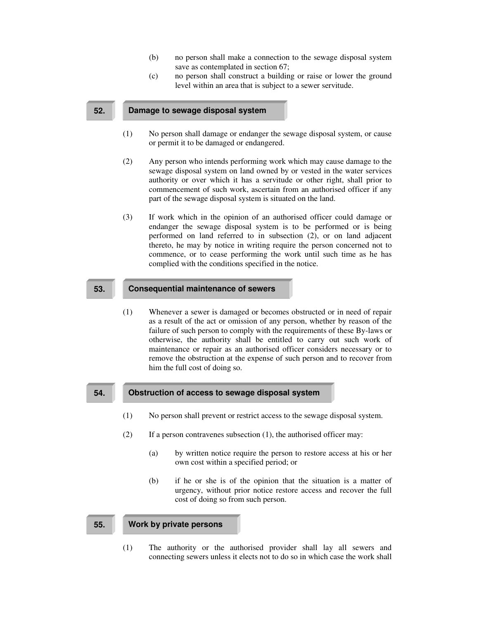- (b) no person shall make a connection to the sewage disposal system save as contemplated in section 67;
- (c) no person shall construct a building or raise or lower the ground level within an area that is subject to a sewer servitude.

#### **52. Damage to sewage disposal system**

- (1) No person shall damage or endanger the sewage disposal system, or cause or permit it to be damaged or endangered.
- (2) Any person who intends performing work which may cause damage to the sewage disposal system on land owned by or vested in the water services authority or over which it has a servitude or other right, shall prior to commencement of such work, ascertain from an authorised officer if any part of the sewage disposal system is situated on the land.
- (3) If work which in the opinion of an authorised officer could damage or endanger the sewage disposal system is to be performed or is being performed on land referred to in subsection (2), or on land adjacent thereto, he may by notice in writing require the person concerned not to commence, or to cease performing the work until such time as he has complied with the conditions specified in the notice.

## **53. Consequential maintenance of sewers**

(1) Whenever a sewer is damaged or becomes obstructed or in need of repair as a result of the act or omission of any person, whether by reason of the failure of such person to comply with the requirements of these By-laws or otherwise, the authority shall be entitled to carry out such work of maintenance or repair as an authorised officer considers necessary or to remove the obstruction at the expense of such person and to recover from him the full cost of doing so.

#### **54. Obstruction of access to sewage disposal system**

- (1) No person shall prevent or restrict access to the sewage disposal system.
- (2) If a person contravenes subsection (1), the authorised officer may:
	- (a) by written notice require the person to restore access at his or her own cost within a specified period; or
	- (b) if he or she is of the opinion that the situation is a matter of urgency, without prior notice restore access and recover the full cost of doing so from such person.

# **55. Work by private persons**

(1) The authority or the authorised provider shall lay all sewers and connecting sewers unless it elects not to do so in which case the work shall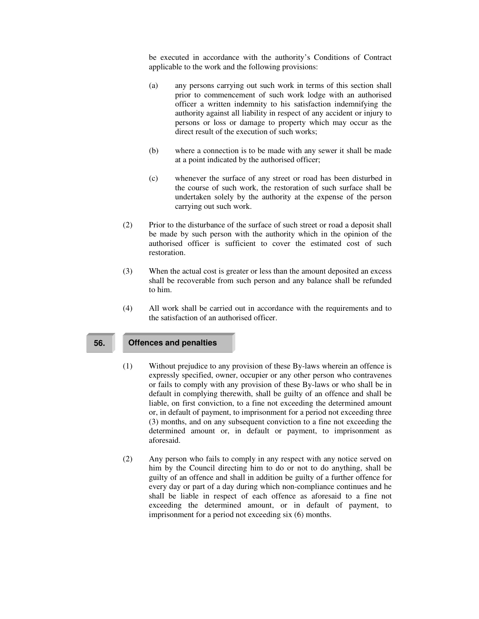be executed in accordance with the authority's Conditions of Contract applicable to the work and the following provisions:

- (a) any persons carrying out such work in terms of this section shall prior to commencement of such work lodge with an authorised officer a written indemnity to his satisfaction indemnifying the authority against all liability in respect of any accident or injury to persons or loss or damage to property which may occur as the direct result of the execution of such works:
- (b) where a connection is to be made with any sewer it shall be made at a point indicated by the authorised officer;
- (c) whenever the surface of any street or road has been disturbed in the course of such work, the restoration of such surface shall be undertaken solely by the authority at the expense of the person carrying out such work.
- (2) Prior to the disturbance of the surface of such street or road a deposit shall be made by such person with the authority which in the opinion of the authorised officer is sufficient to cover the estimated cost of such restoration.
- (3) When the actual cost is greater or less than the amount deposited an excess shall be recoverable from such person and any balance shall be refunded to him.
- (4) All work shall be carried out in accordance with the requirements and to the satisfaction of an authorised officer.

### **56. Offences and penalties**

- (1) Without prejudice to any provision of these By-laws wherein an offence is expressly specified, owner, occupier or any other person who contravenes or fails to comply with any provision of these By-laws or who shall be in default in complying therewith, shall be guilty of an offence and shall be liable, on first conviction, to a fine not exceeding the determined amount or, in default of payment, to imprisonment for a period not exceeding three (3) months, and on any subsequent conviction to a fine not exceeding the determined amount or, in default or payment, to imprisonment as aforesaid.
- (2) Any person who fails to comply in any respect with any notice served on him by the Council directing him to do or not to do anything, shall be guilty of an offence and shall in addition be guilty of a further offence for every day or part of a day during which non-compliance continues and he shall be liable in respect of each offence as aforesaid to a fine not exceeding the determined amount, or in default of payment, to imprisonment for a period not exceeding six (6) months.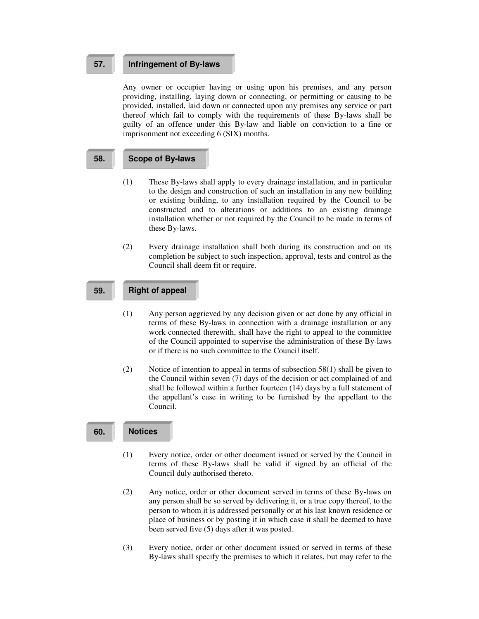# **57. Infringement of By-laws**

Any owner or occupier having or using upon his premises, and any person providing, installing, laying down or connecting, or permitting or causing to be provided, installed, laid down or connected upon any premises any service or part thereof which fail to comply with the requirements of these By-laws shall be guilty of an offence under this By-law and liable on conviction to a fine or imprisonment not exceeding 6 (SIX) months.

## **58. Scope of By-laws**

- (1) These By-laws shall apply to every drainage installation, and in particular to the design and construction of such an installation in any new building or existing building, to any installation required by the Council to be constructed and to alterations or additions to an existing drainage installation whether or not required by the Council to be made in terms of these By-laws.
- (2) Every drainage installation shall both during its construction and on its completion be subject to such inspection, approval, tests and control as the Council shall deem fit or require.

# **59. Right of appeal**

- (1) Any person aggrieved by any decision given or act done by any official in terms of these By-laws in connection with a drainage installation or any work connected therewith, shall have the right to appeal to the committee of the Council appointed to supervise the administration of these By-laws or if there is no such committee to the Council itself.
- (2) Notice of intention to appeal in terms of subsection 58(1) shall be given to the Council within seven (7) days of the decision or act complained of and shall be followed within a further fourteen (14) days by a full statement of the appellant's case in writing to be furnished by the appellant to the Council.

#### **60. Notices**

- (1) Every notice, order or other document issued or served by the Council in terms of these By-laws shall be valid if signed by an official of the Council duly authorised thereto.
- (2) Any notice, order or other document served in terms of these By-laws on any person shall be so served by delivering it, or a true copy thereof, to the person to whom it is addressed personally or at his last known residence or place of business or by posting it in which case it shall be deemed to have been served five (5) days after it was posted.
- (3) Every notice, order or other document issued or served in terms of these By-laws shall specify the premises to which it relates, but may refer to the